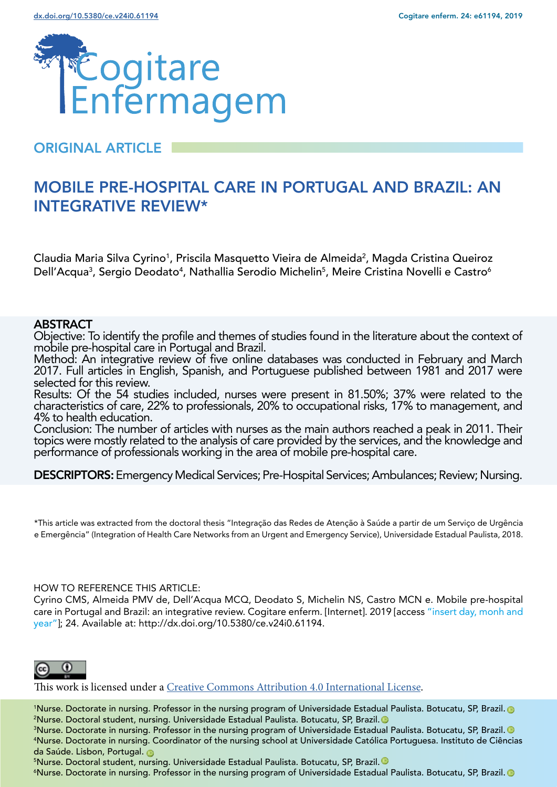

# ORIGINAL ARTICLE

# MOBILE PRE-HOSPITAL CARE IN PORTUGAL AND BRAZIL: AN INTEGRATIVE REVIEW\*

Claudia Maria Silva Cyrino<sup>1</sup>, Priscila Masquetto Vieira de Almeida<sup>2</sup>, Magda Cristina Queiroz Dell'Acqua<sup>3</sup>, Sergio Deodato<sup>4</sup>, Nathallia Serodio Michelin<sup>5</sup>, Meire Cristina Novelli e Castro<sup>6</sup>

#### **ABSTRACT**

Objective: To identify the profile and themes of studies found in the literature about the context of mobile pre-hospital care in Portugal and Brazil.

Method: An integrative review of five online databases was conducted in February and March 2017. Full articles in English, Spanish, and Portuguese published between 1981 and 2017 were selected for this review.

Results: Of the 54 studies included, nurses were present in 81.50%; 37% were related to the characteristics of care, 22% to professionals, 20% to occupational risks, 17% to management, and 4% to health education.

Conclusion: The number of articles with nurses as the main authors reached a peak in 2011. Their topics were mostly related to the analysis of care provided by the services, and the knowledge and performance of professionals working in the area of mobile pre-hospital care.

DESCRIPTORS: Emergency Medical Services; Pre-Hospital Services; Ambulances; Review; Nursing.

\*This article was extracted from the doctoral thesis "Integração das Redes de Atenção à Saúde a partir de um Serviço de Urgência e Emergência" (Integration of Health Care Networks from an Urgent and Emergency Service), Universidade Estadual Paulista, 2018.

#### HOW TO REFERENCE THIS ARTICLE:

Cyrino CMS, Almeida PMV de, Dell'Acqua MCQ, Deodato S, Michelin NS, Castro MCN e. Mobile pre-hospital care in Portugal and Brazil: an integrative review. Cogitare enferm. [Internet]. 2019 [access "insert day, monh and year"]; 24. Available at: http://dx.doi.org/10.5380/ce.v24i0.61194.



This work is licensed under a [Creative Commons Attribution 4.0 International License.](https://creativecommons.org/licenses/by/4.0/)

1 Nurse. Doctorate in nursing. Professor in the nursing program of Universidade Estadual Paulista. Botucatu, SP, Brazil[.](https://orcid.org/0000-0003-2442-2606) 2 Nurse. Doctoral student, nursing. Universidade Estadual Paulista. Botucatu, SP, Brazil[.](https://orcid.org/0000-0002-8516-9491)

3 Nurse. Doctorate in nursing. Professor in the nursing program of Universidade Estadual Paulista. Botucatu, SP, Brazil[.](https://orcid.org/0000-0002-7518-6626)  4 Nurse. Doctorate in nursing. Coordinator of the nursing school at Universidade Católica Portuguesa. Instituto de Ciências daSaúde. Lisbon, Portugal.

5 Nurse. Doctoral student, nursing. Universidade Estadual Paulista. Botucatu, SP, Brazil[.](https://orcid.org/0000-0002-6750-2115)

6 Nurse. Doctorate in nursing. Professor in the nursing program of Universidade Estadual Paulista. Botucatu, SP, Brazil[.](https://orcid.org/0000-0002-0590-4127)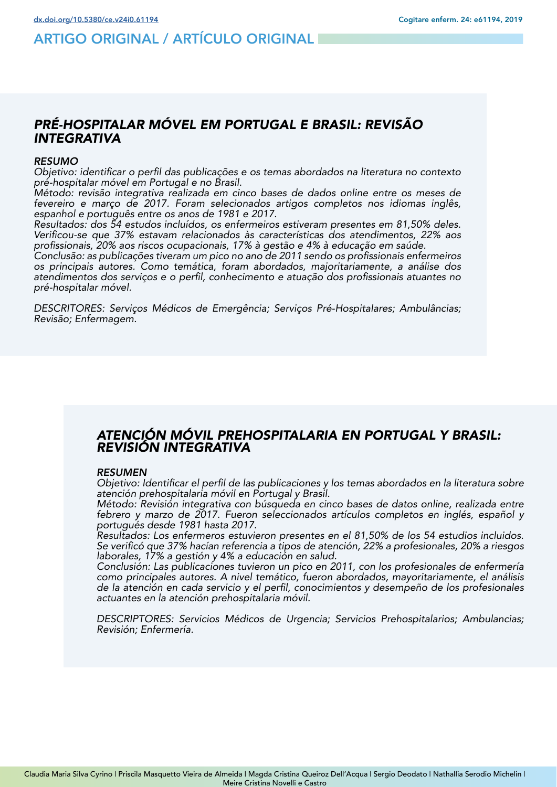# ARTIGO ORIGINAL / ARTÍCULO ORIGINAL

## *PRÉ-HOSPITALAR MÓVEL EM PORTUGAL E BRASIL: REVISÃO INTEGRATIVA*

#### *RESUMO*

Objetivo: identificar o perfil das publicações e os temas abordados na literatura no contexto pré-hospitalar móvel em Portugal e no Brasil.

Método: revisão integrativa realizada em cinco bases de dados online entre os meses de fevereiro e março de 2017. Foram selecionados artigos completos nos idiomas inglês, espanhol e português entre os anos de 1981 e 2017.

Resultados: dos 54 estudos incluídos, os enfermeiros estiveram presentes em 81,50% deles. Verificou-se que 37% estavam relacionados às características dos atendimentos, 22% aos profissionais, 20% aos riscos ocupacionais, 17% à gestão e 4% à educação em saúde.

Conclusão: as publicações tiveram um pico no ano de 2011 sendo os profissionais enfermeiros os principais autores. Como temática, foram abordados, majoritariamente, a análise dos atendimentos dos serviços e o perfil, conhecimento e atuação dos profissionais atuantes no pré-hospitalar móvel.

DESCRITORES: Serviços Médicos de Emergência; Serviços Pré-Hospitalares; Ambulâncias; Revisão; Enfermagem.

## *ATENCIÓN MÓVIL PREHOSPITALARIA EN PORTUGAL Y BRASIL: REVISIÓN INTEGRATIVA*

#### *RESUMEN*

Objetivo: Identificar el perfil de las publicaciones y los temas abordados en la literatura sobre atención prehospitalaria móvil en Portugal y Brasil.

Método: Revisión integrativa con búsqueda en cinco bases de datos online, realizada entre febrero y marzo de 2017. Fueron seleccionados artículos completos en inglés, español y portugués desde 1981 hasta 2017.

Resultados: Los enfermeros estuvieron presentes en el 81,50% de los 54 estudios incluidos. Se verificó que 37% hacían referencia a tipos de atención, 22% a profesionales, 20% a riesgos laborales, 17% a gestión y 4% a educación en salud.

Conclusión: Las publicaciones tuvieron un pico en 2011, con los profesionales de enfermería como principales autores. A nivel temático, fueron abordados, mayoritariamente, el análisis de la atención en cada servicio y el perfil, conocimientos y desempeño de los profesionales actuantes en la atención prehospitalaria móvil.

DESCRIPTORES: Servicios Médicos de Urgencia; Servicios Prehospitalarios; Ambulancias; Revisión; Enfermería.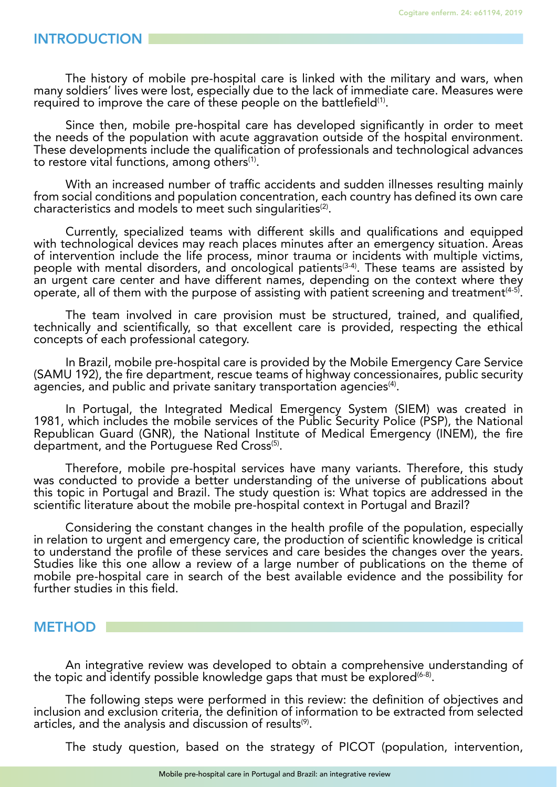#### INTRODUCTION

The history of mobile pre-hospital care is linked with the military and wars, when many soldiers' lives were lost, especially due to the lack of immediate care. Measures were required to improve the care of these people on the battlefield<sup>(1)</sup>.

Since then, mobile pre-hospital care has developed significantly in order to meet the needs of the population with acute aggravation outside of the hospital environment. These developments include the qualification of professionals and technological advances to restore vital functions, among others<sup>(1)</sup>.

With an increased number of traffic accidents and sudden illnesses resulting mainly from social conditions and population concentration, each country has defined its own care characteristics and models to meet such singularities<sup>(2)</sup>.

Currently, specialized teams with different skills and qualifications and equipped with technological devices may reach places minutes after an emergency situation. Areas of intervention include the life process, minor trauma or incidents with multiple victims, people with mental disorders, and oncological patients<sup>(3-4)</sup>. These teams are assisted by an urgent care center and have different names, depending on the context where they operate, all of them with the purpose of assisting with patient screening and treatment<sup> $(4-5)$ </sup>.

The team involved in care provision must be structured, trained, and qualified, technically and scientifically, so that excellent care is provided, respecting the ethical concepts of each professional category.

In Brazil, mobile pre-hospital care is provided by the Mobile Emergency Care Service (SAMU 192), the fire department, rescue teams of highway concessionaires, public security agencies, and public and private sanitary transportation agencies<sup>(4)</sup>.

In Portugal, the Integrated Medical Emergency System (SIEM) was created in 1981, which includes the mobile services of the Public Security Police (PSP), the National Republican Guard (GNR), the National Institute of Medical Emergency (INEM), the fire department, and the Portuguese Red Cross<sup>(5)</sup>.

Therefore, mobile pre-hospital services have many variants. Therefore, this study was conducted to provide a better understanding of the universe of publications about this topic in Portugal and Brazil. The study question is: What topics are addressed in the scientific literature about the mobile pre-hospital context in Portugal and Brazil?

Considering the constant changes in the health profile of the population, especially in relation to urgent and emergency care, the production of scientific knowledge is critical to understand the profile of these services and care besides the changes over the years. Studies like this one allow a review of a large number of publications on the theme of mobile pre-hospital care in search of the best available evidence and the possibility for further studies in this field.

## **METHOD**

An integrative review was developed to obtain a comprehensive understanding of the topic and identify possible knowledge gaps that must be explored  $(6-8)$ .

The following steps were performed in this review: the definition of objectives and inclusion and exclusion criteria, the definition of information to be extracted from selected articles, and the analysis and discussion of results<sup>(9)</sup>.

The study question, based on the strategy of PICOT (population, intervention,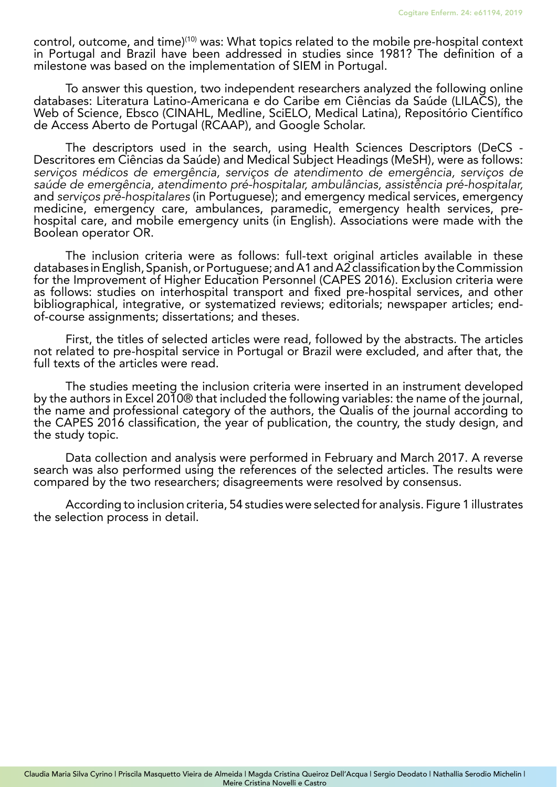control, outcome, and time)<sup>(10)</sup> was: What topics related to the mobile pre-hospital context in Portugal and Brazil have been addressed in studies since 1981? The definition of a milestone was based on the implementation of SIEM in Portugal.

To answer this question, two independent researchers analyzed the following online databases: Literatura Latino-Americana e do Caribe em Ciências da Saúde (LILACS), the Web of Science, Ebsco (CINAHL, Medline, SciELO, Medical Latina), Repositório Científico de Access Aberto de Portugal (RCAAP), and Google Scholar.

The descriptors used in the search, using Health Sciences Descriptors (DeCS - Descritores em Ciências da Saúde) and Medical Subject Headings (MeSH), were as follows: *serviços médicos de emergência, serviços de atendimento de emergência, serviços de saúde de emergência, atendimento pré-hospitalar, ambulâncias, assistência pré-hospitalar,*  and *serviços pré-hospitalares* (in Portuguese); and emergency medical services, emergency<br>medicine, emergency care, ambulances, paramedic, emergency health services, prehospital care, and mobile emergency units (in English). Associations were made with the Boolean operator OR.

The inclusion criteria were as follows: full-text original articles available in these databases in English, Spanish, or Portuguese; and A1 and A2 classification by the Commission for the Improvement of Higher Education Personnel (CAPES 2016). Exclusion criteria were as follows: studies on interhospital transport and fixed pre-hospital services, and other bibliographical, integrative, or systematized reviews; editorials; newspaper articles; endof-course assignments; dissertations; and theses.

First, the titles of selected articles were read, followed by the abstracts. The articles not related to pre-hospital service in Portugal or Brazil were excluded, and after that, the full texts of the articles were read.

The studies meeting the inclusion criteria were inserted in an instrument developed by the authors in Excel 2010® that included the following variables: the name of the journal, the name and professional category of the authors, the Qualis of the journal according to the CAPES 2016 classification, the year of publication, the country, the study design, and the study topic.

Data collection and analysis were performed in February and March 2017. A reverse search was also performed using the references of the selected articles. The results were compared by the two researchers; disagreements were resolved by consensus.

According to inclusion criteria, 54 studies were selected for analysis. Figure 1 illustrates the selection process in detail.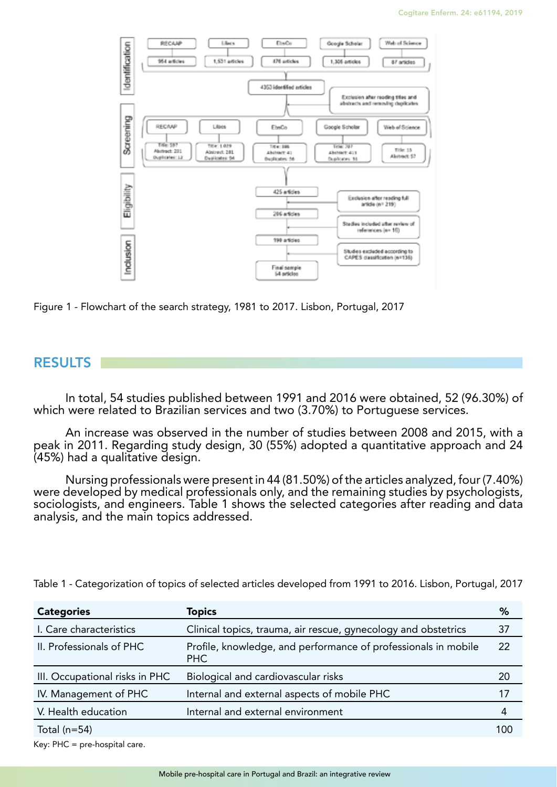

Figure 1 - Flowchart of the search strategy, 1981 to 2017. Lisbon, Portugal, 2017

## RESULTS

In total, 54 studies published between 1991 and 2016 were obtained, 52 (96.30%) of which were related to Brazilian services and two (3.70%) to Portuguese services.

An increase was observed in the number of studies between 2008 and 2015, with a peak in 2011. Regarding study design, 30 (55%) adopted a quantitative approach and 24 (45%) had a qualitative design.

Nursing professionals were present in 44 (81.50%) of the articles analyzed, four (7.40%) were developed by medical professionals only, and the remaining studies by psychologists, sociologists, and engineers. Table 1 shows the selected categories after reading and data analysis, and the main topics addressed.

| <b>Categories</b>              | <b>Topics</b>                                                         | %   |
|--------------------------------|-----------------------------------------------------------------------|-----|
| I. Care characteristics        | Clinical topics, trauma, air rescue, gynecology and obstetrics        | 37  |
| II. Professionals of PHC       | Profile, knowledge, and performance of professionals in mobile<br>PHC | 22  |
| III. Occupational risks in PHC | Biological and cardiovascular risks                                   | 20  |
| IV. Management of PHC          | Internal and external aspects of mobile PHC                           | 17  |
| V. Health education            | Internal and external environment                                     | 4   |
| Total $(n=54)$                 |                                                                       | 100 |

Table 1 - Categorization of topics of selected articles developed from 1991 to 2016. Lisbon, Portugal, 2017

Key: PHC = pre-hospital care.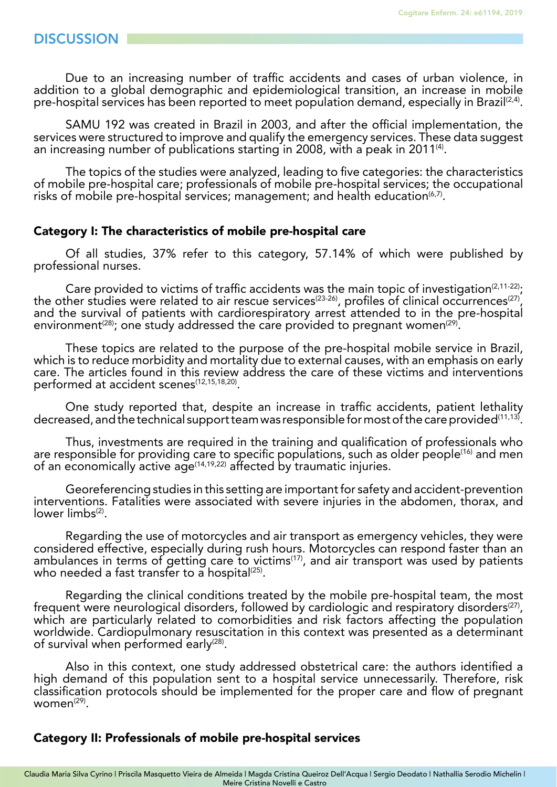Due to an increasing number of traffic accidents and cases of urban violence, in addition to a global demographic and epidemiological transition, an increase in mobile pre-hospital services has been reported to meet population demand, especially in Brazil $(2,4)$ .

SAMU 192 was created in Brazil in 2003, and after the official implementation, the services were structured to improve and qualify the emergency services. These data suggest an increasing number of publications starting in 2008, with a peak in 2011<sup>(4)</sup>.

The topics of the studies were analyzed, leading to five categories: the characteristics of mobile pre-hospital care; professionals of mobile pre-hospital services; the occupational risks of mobile pre-hospital services; management; and health education $(6,7)$ .

#### Category I: The characteristics of mobile pre-hospital care

Of all studies, 37% refer to this category, 57.14% of which were published by professional nurses.

Care provided to victims of traffic accidents was the main topic of investigation<sup>(2,11-22)</sup>; the other studies were related to air rescue services<sup>(23-26)</sup>, profiles of clinical occurrences<sup>(27)</sup>, and the survival of patients with cardiorespiratory arrest attended to in the pre-hospital environment<sup>(28)</sup>; one study addressed the care provided to pregnant women<sup>(29)</sup>.

These topics are related to the purpose of the pre-hospital mobile service in Brazil, which is to reduce morbidity and mortality due to external causes, with an emphasis on early care. The articles found in this review address the care of these victims and interventions performed at accident scenes<sup>(12,15,18,20)</sup>.

One study reported that, despite an increase in traffic accidents, patient lethality decreased, and the technical support team was responsible for most of the care provided<sup>(11,13)</sup>.

Thus, investments are required in the training and qualification of professionals who are responsible for providing care to specific populations, such as older people(16) and men of an economically active age<sup>(14,19,22)</sup> affected by traumatic injuries.

Georeferencing studies in this setting are important for safety and accident-prevention interventions. Fatalities were associated with severe injuries in the abdomen, thorax, and lower  $limbs^{(2)}$ .

Regarding the use of motorcycles and air transport as emergency vehicles, they were considered effective, especially during rush hours. Motorcycles can respond faster than an ambulances in terms of getting care to victims<sup>(17)</sup>, and air transport was used by patients who needed a fast transfer to a hospital $(25)$ .

Regarding the clinical conditions treated by the mobile pre-hospital team, the most frequent were neurological disorders, followed by cardiologic and respiratory disorders<sup>(27)</sup>, which are particularly related to comorbidities and risk factors affecting the population worldwide. Cardiopulmonary resuscitation in this context was presented as a determinant of survival when performed early<sup>(28)</sup>.

Also in this context, one study addressed obstetrical care: the authors identified a high demand of this population sent to a hospital service unnecessarily. Therefore, risk classification protocols should be implemented for the proper care and flow of pregnant  $woman^{(29)}$ .

#### Category II: Professionals of mobile pre-hospital services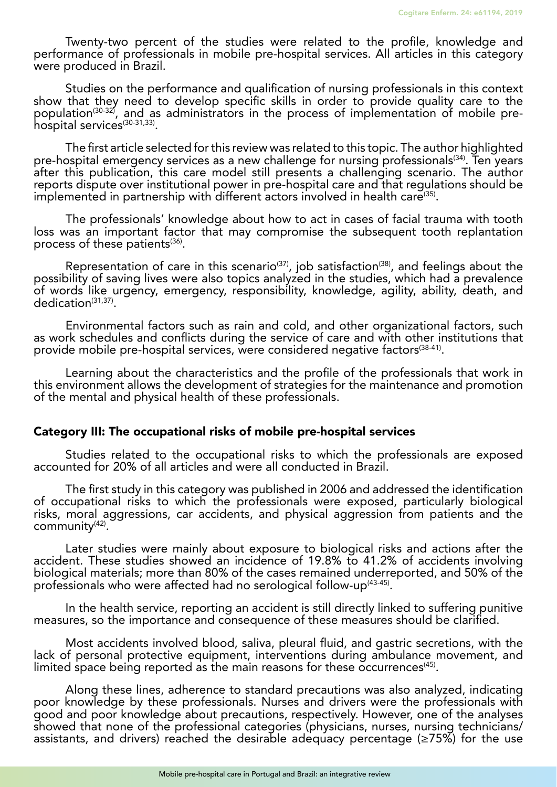Twenty-two percent of the studies were related to the profile, knowledge and performance of professionals in mobile pre-hospital services. All articles in this category were produced in Brazil.

Studies on the performance and qualification of nursing professionals in this context show that they need to develop specific skills in order to provide quality care to the population<sup>(30-32)</sup>, and as administrators in the process of implementation of mobile prehospital services<sup>(30-31,33)</sup>.

The first article selected for this review was related to this topic. The author highlighted<br>pre-hospital emergency services as a new challenge for nursing professionals<sup>(34)</sup>. Ten years after this publication, this care model still presents a challenging scenario. The author reports dispute over institutional power in pre-hospital care and that regulations should be implemented in partnership with different actors involved in health care<sup>(35)</sup>.

The professionals' knowledge about how to act in cases of facial trauma with tooth loss was an important factor that may compromise the subsequent tooth replantation process of these patients $(36)$ .

Representation of care in this scenario<sup>(37)</sup>, job satisfaction<sup>(38)</sup>, and feelings about the possibility of saving lives were also topics analyzed in the studies, which had a prevalence of words like urgency, emergency, responsibility, knowledge, agility, ability, death, and dedication<sup>(31,37)</sup>.

Environmental factors such as rain and cold, and other organizational factors, such as work schedules and conflicts during the service of care and with other institutions that provide mobile pre-hospital services, were considered negative factors(38-41).

Learning about the characteristics and the profile of the professionals that work in this environment allows the development of strategies for the maintenance and promotion of the mental and physical health of these professionals.

## Category III: The occupational risks of mobile pre-hospital services

Studies related to the occupational risks to which the professionals are exposed accounted for 20% of all articles and were all conducted in Brazil.

The first study in this category was published in 2006 and addressed the identification of occupational risks to which the professionals were exposed, particularly biological risks, moral aggressions, car accidents, and physical aggression from patients and the community(42).

Later studies were mainly about exposure to biological risks and actions after the accident. These studies showed an incidence of 19.8% to 41.2% of accidents involving biological materials; more than 80% of the cases remained underreported, and 50% of the professionals who were affected had no serological follow-up<sup>(43-45)</sup>.

In the health service, reporting an accident is still directly linked to suffering punitive measures, so the importance and consequence of these measures should be clarified.

Most accidents involved blood, saliva, pleural fluid, and gastric secretions, with the lack of personal protective equipment, interventions during ambulance movement, and limited space being reported as the main reasons for these occurrences<sup>(45)</sup>.

Along these lines, adherence to standard precautions was also analyzed, indicating poor knowledge by these professionals. Nurses and drivers were the professionals with good and poor knowledge about precautions, respectively. However, one of the analyses showed that none of the professional categories (physicians, nurses, nursing technicians/ assistants, and drivers) reached the desirable adequacy percentage ( $\geq$ 75%) for the use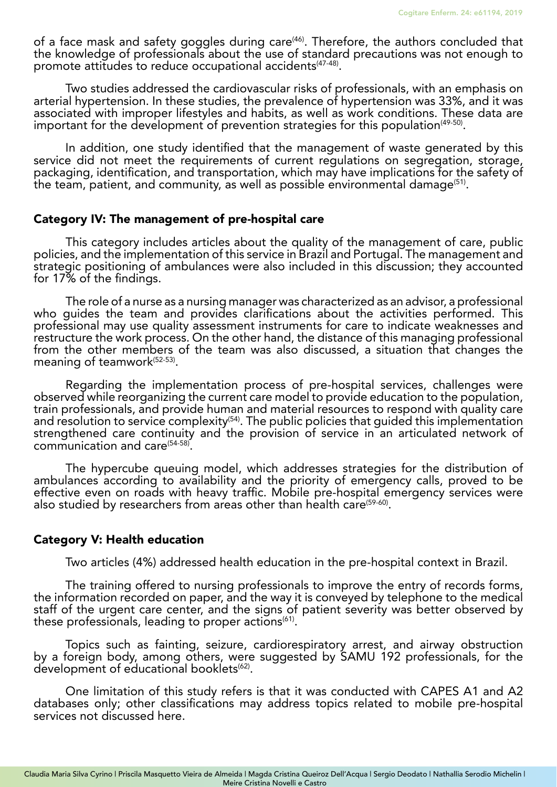of a face mask and safety goggles during care<sup>(46)</sup>. Therefore, the authors concluded that the knowledge of professionals about the use of standard precautions was not enough to promote attitudes to reduce occupational accidents<sup>(47-48)</sup>.

Two studies addressed the cardiovascular risks of professionals, with an emphasis on arterial hypertension. In these studies, the prevalence of hypertension was 33%, and it was associated with improper lifestyles and habits, as well as work conditions. These data are important for the development of prevention strategies for this population<sup>(49-50)</sup>.

In addition, one study identified that the management of waste generated by this service did not meet the requirements of current regulations on segregation, storage, packaging, identification, and transportation, which may have implications for the safety of the team, patient, and community, as well as possible environmental damage<sup>(51)</sup>.

#### Category IV: The management of pre-hospital care

This category includes articles about the quality of the management of care, public policies, and the implementation of this service in Brazil and Portugal. The management and strategic positioning of ambulances were also included in this discussion; they accounted for 17% of the findings.

The role of a nurse as a nursing manager was characterized as an advisor, a professional who guides the team and provides clarifications about the activities performed. This professional may use quality assessment instruments for care to indicate weaknesses and restructure the work process. On the other hand, the distance of this managing professional from the other members of the team was also discussed, a situation that changes the meaning of teamwork<sup>(52-53)</sup>.

Regarding the implementation process of pre-hospital services, challenges were observed while reorganizing the current care model to provide education to the population, train professionals, and provide human and material resources to respond with quality care and resolution to service complexity<sup>(54)</sup>. The public policies that quided this implementation strengthened care continuity and the provision of service in an articulated network of communication and care(54-58).

The hypercube queuing model, which addresses strategies for the distribution of ambulances according to availability and the priority of emergency calls, proved to be effective even on roads with heavy traffic. Mobile pre-hospital emergency services were also studied by researchers from areas other than health care<sup>(59-60)</sup>.

## Category V: Health education

Two articles (4%) addressed health education in the pre-hospital context in Brazil.

The training offered to nursing professionals to improve the entry of records forms, the information recorded on paper, and the way it is conveyed by telephone to the medical staff of the urgent care center, and the signs of patient severity was better observed by these professionals, leading to proper actions<sup>(61)</sup>.

Topics such as fainting, seizure, cardiorespiratory arrest, and airway obstruction by a foreign body, among others, were suggested by SAMU 192 professionals, for the development of educational booklets<sup>(62)</sup>.

One limitation of this study refers is that it was conducted with CAPES A1 and A2 databases only; other classifications may address topics related to mobile pre-hospital services not discussed here.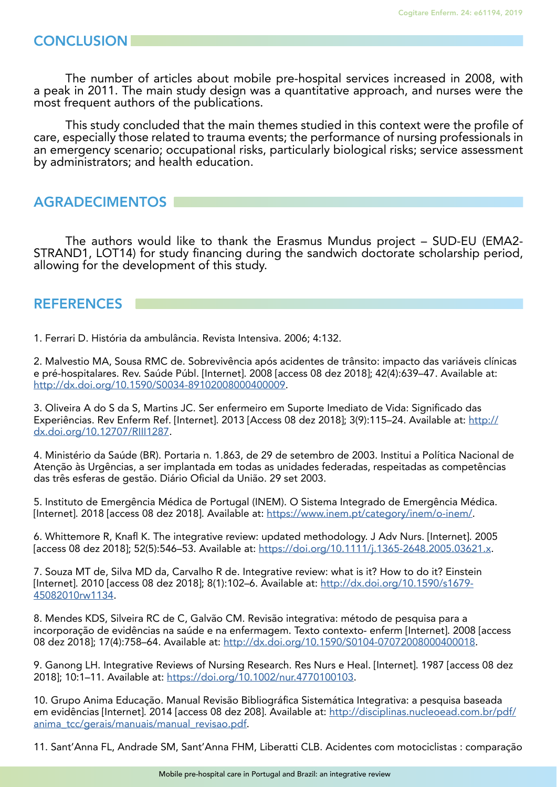The number of articles about mobile pre-hospital services increased in 2008, with a peak in 2011. The main study design was a quantitative approach, and nurses were the most frequent authors of the publications.

This study concluded that the main themes studied in this context were the profile of care, especially those related to trauma events; the performance of nursing professionals in an emergency scenario; occupational risks, particularly biological risks; service assessment by administrators; and health education.

# AGRADECIMENTOS

The authors would like to thank the Erasmus Mundus project – SUD-EU (EMA2- STRAND1, LOT14) for study financing during the sandwich doctorate scholarship period, allowing for the development of this study.

# REFERENCES

1. Ferrari D. História da ambulância. Revista Intensiva. 2006; 4:132.

2. Malvestio MA, Sousa RMC de. Sobrevivência após acidentes de trânsito: impacto das variáveis clínicas e pré-hospitalares. Rev. Saúde Públ. [Internet]. 2008 [access 08 dez 2018]; 42(4):639–47. Available at: <http://dx.doi.org/10.1590/S0034-89102008000400009>.

3. Oliveira A do S da S, Martins JC. Ser enfermeiro em Suporte Imediato de Vida: Significado das Experiências. Rev Enferm Ref. [Internet]. 2013 [Access 08 dez 2018]; 3(9):115–24. Available at: [http://](http://dx.doi.org/10.12707/RIII1287) [dx.doi.org/10.12707/RIII1287.](http://dx.doi.org/10.12707/RIII1287)

4. Ministério da Saúde (BR). Portaria n. 1.863, de 29 de setembro de 2003. Institui a Política Nacional de Atenção às Urgências, a ser implantada em todas as unidades federadas, respeitadas as competências das três esferas de gestão. Diário Oficial da União. 29 set 2003.

5. Instituto de Emergência Médica de Portugal (INEM). O Sistema Integrado de Emergência Médica. [Internet]. 2018 [access 08 dez 2018]. Available at: [https://www.inem.pt/category/inem/o-inem/.](https://www.inem.pt/category/inem/o-inem/)

6. Whittemore R, Knafl K. The integrative review: updated methodology. J Adv Nurs. [Internet]. 2005 [access 08 dez 2018]; 52(5):546–53. Available at: [https://doi.org/10.1111/j.1365-2648.2005.03621.x.](https://doi.org/10.1111/j.1365-2648.2005.03621.x)

7. Souza MT de, Silva MD da, Carvalho R de. Integrative review: what is it? How to do it? Einstein [Internet]. 2010 [access 08 dez 2018]; 8(1):102-6. Available at: [http://dx.doi.org/10.1590/s1679-](http://dx.doi.org/10.1590/s1679-45082010rw1134) [45082010rw1134](http://dx.doi.org/10.1590/s1679-45082010rw1134).

8. Mendes KDS, Silveira RC de C, Galvão CM. Revisão integrativa: método de pesquisa para a incorporação de evidências na saúde e na enfermagem. Texto contexto- enferm [Internet]. 2008 [access 08 dez 2018]; 17(4):758–64. Available at: <http://dx.doi.org/10.1590/S0104-07072008000400018>.

9. Ganong LH. Integrative Reviews of Nursing Research. Res Nurs e Heal. [Internet]. 1987 [access 08 dez 2018]; 10:1–11. Available at:<https://doi.org/10.1002/nur.4770100103>.

10. Grupo Anima Educação. Manual Revisão Bibliográfica Sistemática Integrativa: a pesquisa baseada em evidências [Internet]. 2014 [access 08 dez 208]. Available at: [http://disciplinas.nucleoead.com.br/pdf/](http://disciplinas.nucleoead.com.br/pdf/anima_tcc/gerais/manuais/manual_revisao.pdf) [anima\\_tcc/gerais/manuais/manual\\_revisao.pdf.](http://disciplinas.nucleoead.com.br/pdf/anima_tcc/gerais/manuais/manual_revisao.pdf)

11. Sant'Anna FL, Andrade SM, Sant'Anna FHM, Liberatti CLB. Acidentes com motociclistas : comparação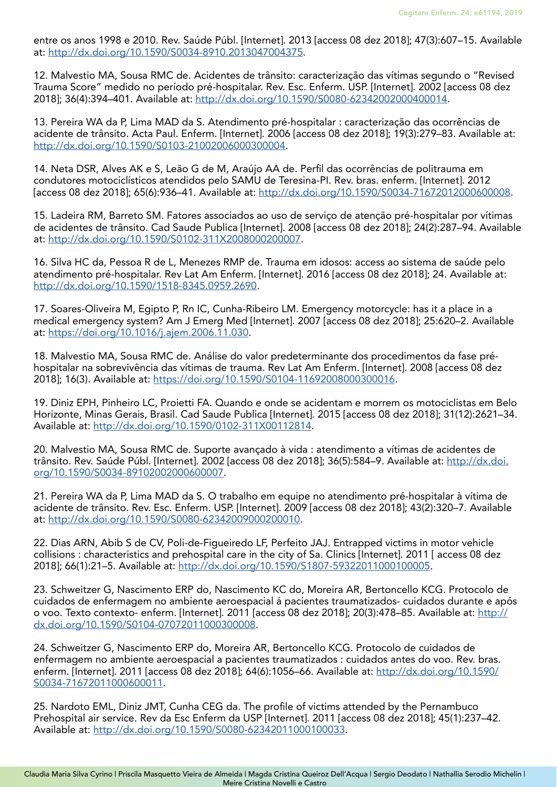entre os anos 1998 e 2010. Rev. Saúde Públ. [Internet]. 2013 [access 08 dez 2018]; 47(3):607–15. Available at: [http://dx.doi.org/10.1590/S0034-8910.2013047004375.](http://dx.doi.org/10.1590/S0034-8910.2013047004375)

12. Malvestio MA, Sousa RMC de. Acidentes de trânsito: caracterização das vítimas segundo o "Revised Trauma Score" medido no período pré-hospitalar. Rev. Esc. Enferm. USP. [Internet]. 2002 [access 08 dez 2018]; 36(4):394–401. Available at:<http://dx.doi.org/10.1590/S0080-62342002000400014>.

13. Pereira WA da P, Lima MAD da S. Atendimento pré-hospitalar : caracterização das ocorrências de acidente de trânsito. Acta Paul. Enferm. [Internet]. 2006 [access 08 dez 2018]; 19(3):279–83. Available at: <http://dx.doi.org/10.1590/S0103-21002006000300004>.

14. Neta DSR, Alves AK e S, Leão G de M, Araújo AA de. Perfil das ocorrências de politrauma em condutores motociclísticos atendidos pelo SAMU de Teresina-PI. Rev. bras. enferm. [Internet]. 2012 [access 08 dez 2018]; 65(6):936–41. Available at: [http://dx.doi.org/10.1590/S0034-71672012000600008.](http://dx.doi.org/10.1590/S0034-71672012000600008)

15. Ladeira RM, Barreto SM. Fatores associados ao uso de serviço de atenção pré-hospitalar por vítimas de acidentes de trânsito. Cad Saude Publica [Internet]. 2008 [access 08 dez 2018]; 24(2):287–94. Available at: [http://dx.doi.org/10.1590/S0102-311X2008000200007.](http://dx.doi.org/10.1590/S0102-311X2008000200007)

16. Silva HC da, Pessoa R de L, Menezes RMP de. Trauma em idosos: access ao sistema de saúde pelo atendimento pré-hospitalar. Rev Lat Am Enferm. [Internet]. 2016 [access 08 dez 2018]; 24. Available at: <http://dx.doi.org/10.1590/1518-8345.0959.2690>.

17. Soares-Oliveira M, Egipto P, Rn IC, Cunha-Ribeiro LM. Emergency motorcycle: has it a place in a medical emergency system? Am J Emerg Med [Internet]. 2007 [access 08 dez 2018]; 25:620–2. Available at: [https://doi.org/10.1016/j.ajem.2006.11.030.](https://doi.org/10.1016/j.ajem.2006.11.030)

18. Malvestio MA, Sousa RMC de. Análise do valor predeterminante dos procedimentos da fase préhospitalar na sobrevivência das vítimas de trauma. Rev Lat Am Enferm. [Internet]. 2008 [access 08 dez 2018]; 16(3). Available at: <https://doi.org/10.1590/S0104-11692008000300016>.

19. Diniz EPH, Pinheiro LC, Proietti FA. Quando e onde se acidentam e morrem os motociclistas em Belo Horizonte, Minas Gerais, Brasil. Cad Saude Publica [Internet]. 2015 [access 08 dez 2018]; 31(12):2621–34. Available at: [http://dx.doi.org/10.1590/0102-311X00112814.](http://dx.doi.org/10.1590/0102-311X00112814)

20. Malvestio MA, Sousa RMC de. Suporte avançado à vida : atendimento a vítimas de acidentes de trânsito. Rev. Saúde Públ. [Internet]. 2002 [access 08 dez 2018]; 36(5):584–9. Available at: [http://dx.doi.](http://dx.doi.org/10.1590/S0034-89102002000600007) [org/10.1590/S0034-89102002000600007](http://dx.doi.org/10.1590/S0034-89102002000600007).

21. Pereira WA da P, Lima MAD da S. O trabalho em equipe no atendimento pré-hospitalar à vítima de acidente de trânsito. Rev. Esc. Enferm. USP. [Internet]. 2009 [access 08 dez 2018]; 43(2):320–7. Available at: [http://dx.doi.org/10.1590/S0080-62342009000200010.](http://dx.doi.org/10.1590/S0080-62342009000200010)

22. Dias ARN, Abib S de CV, Poli-de-Figueiredo LF, Perfeito JAJ. Entrapped victims in motor vehicle collisions : characteristics and prehospital care in the city of Sa. Clinics [Internet]. 2011 [ access 08 dez 2018]; 66(1):21–5. Available at: [http://dx.doi.org/10.1590/S1807-59322011000100005.](http://dx.doi.org/10.1590/S1807-59322011000100005)

23. Schweitzer G, Nascimento ERP do, Nascimento KC do, Moreira AR, Bertoncello KCG. Protocolo de cuidados de enfermagem no ambiente aeroespacial á pacientes traumatizados- cuidados durante e após o voo. Texto contexto- enferm. [Internet]. 2011 [access 08 dez 2018]; 20(3):478–85. Available at: [http://](http://dx.doi.org/10.1590/S0104-07072011000300008) [dx.doi.org/10.1590/S0104-07072011000300008](http://dx.doi.org/10.1590/S0104-07072011000300008).

24. Schweitzer G, Nascimento ERP do, Moreira AR, Bertoncello KCG. Protocolo de cuidados de enfermagem no ambiente aeroespacial a pacientes traumatizados : cuidados antes do voo. Rev. bras. enferm. [Internet]. 2011 [access 08 dez 2018]; 64(6):1056–66. Available at: [http://dx.doi.org/10.1590/](http://dx.doi.org/10.1590/S0034-71672011000600011) [S0034-71672011000600011](http://dx.doi.org/10.1590/S0034-71672011000600011).

25. Nardoto EML, Diniz JMT, Cunha CEG da. The profile of victims attended by the Pernambuco Prehospital air service. Rev da Esc Enferm da USP [Internet]. 2011 [access 08 dez 2018]; 45(1):237–42. Available at: [http://dx.doi.org/10.1590/S0080-62342011000100033.](http://dx.doi.org/10.1590/S0080-62342011000100033)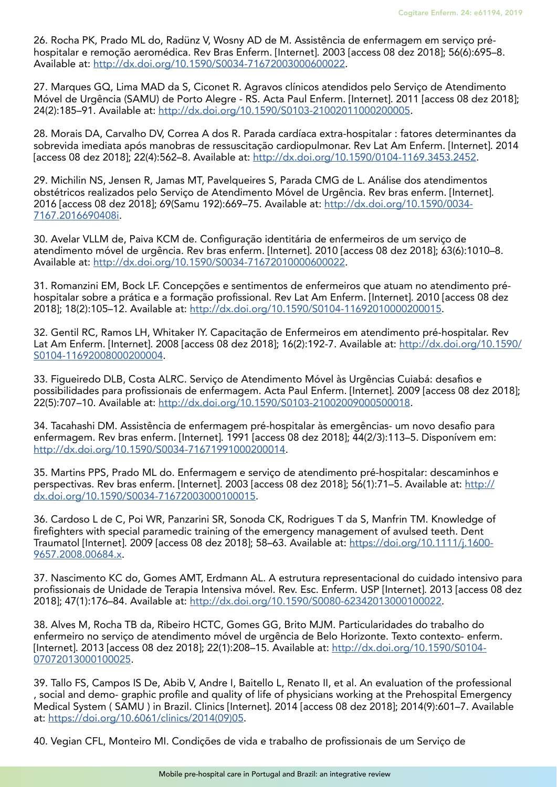26. Rocha PK, Prado ML do, Radünz V, Wosny AD de M. Assistência de enfermagem em serviço préhospitalar e remoção aeromédica. Rev Bras Enferm. [Internet]. 2003 [access 08 dez 2018]; 56(6):695–8. Available at: [http://dx.doi.org/10.1590/S0034-71672003000600022.](http://dx.doi.org/10.1590/S0034-71672003000600022)

27. Marques GQ, Lima MAD da S, Ciconet R. Agravos clínicos atendidos pelo Serviço de Atendimento Móvel de Urgência (SAMU) de Porto Alegre - RS. Acta Paul Enferm. [Internet]. 2011 [access 08 dez 2018]; 24(2):185–91. Available at: [http://dx.doi.org/10.1590/S0103-21002011000200005.](http://dx.doi.org/10.1590/S0103-21002011000200005)

28. Morais DA, Carvalho DV, Correa A dos R. Parada cardíaca extra-hospitalar : fatores determinantes da sobrevida imediata após manobras de ressuscitação cardiopulmonar. Rev Lat Am Enferm. [Internet]. 2014 [access 08 dez 2018]; 22(4):562–8. Available at: <http://dx.doi.org/10.1590/0104-1169.3453.2452>.

29. Michilin NS, Jensen R, Jamas MT, Pavelqueires S, Parada CMG de L. Análise dos atendimentos obstétricos realizados pelo Serviço de Atendimento Móvel de Urgência. Rev bras enferm. [Internet]. 2016 [access 08 dez 2018]; 69(Samu 192):669–75. Available at: [http://dx.doi.org/10.1590/0034-](http://dx.doi.org/10.1590/0034-7167.2016690408i) [7167.2016690408i](http://dx.doi.org/10.1590/0034-7167.2016690408i).

30. Avelar VLLM de, Paiva KCM de. Configuração identitária de enfermeiros de um serviço de atendimento móvel de urgência. Rev bras enferm. [Internet]. 2010 [access 08 dez 2018]; 63(6):1010–8. Available at: [http://dx.doi.org/10.1590/S0034-71672010000600022.](http://dx.doi.org/10.1590/S0034-71672010000600022)

31. Romanzini EM, Bock LF. Concepções e sentimentos de enfermeiros que atuam no atendimento préhospitalar sobre a prática e a formação profissional. Rev Lat Am Enferm. [Internet]. 2010 [access 08 dez 2018]; 18(2):105–12. Available at: [http://dx.doi.org/10.1590/S0104-11692010000200015.](http://dx.doi.org/10.1590/S0104-11692010000200015)

32. Gentil RC, Ramos LH, Whitaker IY. Capacitação de Enfermeiros em atendimento pré-hospitalar. Rev Lat Am Enferm. [Internet]. 2008 [access 08 dez 2018]; 16(2):192-7. Available at: [http://dx.doi.org/10.1590/](http://dx.doi.org/10.1590/S0104-11692008000200004) [S0104-11692008000200004](http://dx.doi.org/10.1590/S0104-11692008000200004).

33. Figueiredo DLB, Costa ALRC. Serviço de Atendimento Móvel às Urgências Cuiabá: desafios e possibilidades para profissionais de enfermagem. Acta Paul Enferm. [Internet]. 2009 [access 08 dez 2018]; 22(5):707–10. Available at: [http://dx.doi.org/10.1590/S0103-21002009000500018.](http://dx.doi.org/10.1590/S0103-21002009000500018)

34. Tacahashi DM. Assistência de enfermagem pré-hospitalar às emergências- um novo desafio para enfermagem. Rev bras enferm. [Internet]. 1991 [access 08 dez 2018]; 44(2/3):113–5. Disponívem em: <http://dx.doi.org/10.1590/S0034-71671991000200014>.

35. Martins PPS, Prado ML do. Enfermagem e serviço de atendimento pré-hospitalar: descaminhos e perspectivas. Rev bras enferm. [Internet]. 2003 [access 08 dez 2018]; 56(1):71–5. Available at: [http://](http://dx.doi.org/10.1590/S0034-71672003000100015) [dx.doi.org/10.1590/S0034-71672003000100015](http://dx.doi.org/10.1590/S0034-71672003000100015).

36. Cardoso L de C, Poi WR, Panzarini SR, Sonoda CK, Rodrigues T da S, Manfrin TM. Knowledge of firefighters with special paramedic training of the emergency management of avulsed teeth. Dent Traumatol [Internet]. 2009 [access 08 dez 2018]; 58–63. Available at: [https://doi.org/10.1111/j.1600-](https://doi.org/10.1111/j.1600-9657.2008.00684.x) [9657.2008.00684.x](https://doi.org/10.1111/j.1600-9657.2008.00684.x).

37. Nascimento KC do, Gomes AMT, Erdmann AL. A estrutura representacional do cuidado intensivo para profissionais de Unidade de Terapia Intensiva móvel. Rev. Esc. Enferm. USP [Internet]. 2013 [access 08 dez 2018]; 47(1):176–84. Available at: [http://dx.doi.org/10.1590/S0080-62342013000100022.](http://dx.doi.org/10.1590/S0080-62342013000100022)

38. Alves M, Rocha TB da, Ribeiro HCTC, Gomes GG, Brito MJM. Particularidades do trabalho do enfermeiro no serviço de atendimento móvel de urgência de Belo Horizonte. Texto contexto- enferm. [Internet]. 2013 [access 08 dez 2018]; 22(1):208–15. Available at: [http://dx.doi.org/10.1590/S0104-](http://dx.doi.org/10.1590/S0104-07072013000100025) [07072013000100025.](http://dx.doi.org/10.1590/S0104-07072013000100025)

39. Tallo FS, Campos IS De, Abib V, Andre I, Baitello L, Renato II, et al. An evaluation of the professional , social and demo- graphic profile and quality of life of physicians working at the Prehospital Emergency Medical System ( SAMU ) in Brazil. Clinics [Internet]. 2014 [access 08 dez 2018]; 2014(9):601–7. Available at: [https://doi.org/10.6061/clinics/2014\(09\)05](https://doi.org/10.6061/clinics/2014(09)05).

40. Vegian CFL, Monteiro MI. Condições de vida e trabalho de profissionais de um Serviço de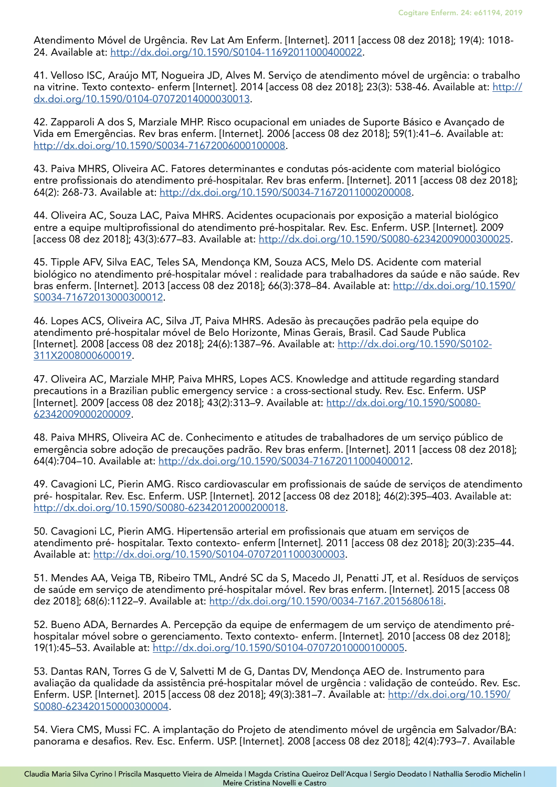Atendimento Móvel de Urgência. Rev Lat Am Enferm. [Internet]. 2011 [access 08 dez 2018]; 19(4): 1018- 24. Available at:<http://dx.doi.org/10.1590/S0104-11692011000400022>.

41. Velloso ISC, Araújo MT, Nogueira JD, Alves M. Serviço de atendimento móvel de urgência: o trabalho na vitrine. Texto contexto- enferm [Internet]. 2014 [access 08 dez 2018]; 23(3): 538-46. Available at: [http://](http://dx.doi.org/10.1590/0104-07072014000030013) [dx.doi.org/10.1590/0104-07072014000030013](http://dx.doi.org/10.1590/0104-07072014000030013).

42. Zapparoli A dos S, Marziale MHP. Risco ocupacional em uniades de Suporte Básico e Avançado de Vida em Emergências. Rev bras enferm. [Internet]. 2006 [access 08 dez 2018]; 59(1):41–6. Available at: <http://dx.doi.org/10.1590/S0034-71672006000100008>.

43. Paiva MHRS, Oliveira AC. Fatores determinantes e condutas pós-acidente com material biológico entre profissionais do atendimento pré-hospitalar. Rev bras enferm. [Internet]. 2011 [access 08 dez 2018]; 64(2): 268-73. Available at: [http://dx.doi.org/10.1590/S0034-71672011000200008.](http://dx.doi.org/10.1590/S0034-71672011000200008)

44. Oliveira AC, Souza LAC, Paiva MHRS. Acidentes ocupacionais por exposição a material biológico entre a equipe multiprofissional do atendimento pré-hospitalar. Rev. Esc. Enferm. USP. [Internet]. 2009 [access 08 dez 2018]; 43(3):677–83. Available at: [http://dx.doi.org/10.1590/S0080-62342009000300025.](http://dx.doi.org/10.1590/S0080-62342009000300025)

45. Tipple AFV, Silva EAC, Teles SA, Mendonça KM, Souza ACS, Melo DS. Acidente com material biológico no atendimento pré-hospitalar móvel : realidade para trabalhadores da saúde e não saúde. Rev bras enferm. [Internet]. 2013 [access 08 dez 2018]; 66(3):378–84. Available at: [http://dx.doi.org/10.1590/](http://dx.doi.org/10.1590/S0034-71672013000300012) [S0034-71672013000300012](http://dx.doi.org/10.1590/S0034-71672013000300012).

46. Lopes ACS, Oliveira AC, Silva JT, Paiva MHRS. Adesão às precauções padrão pela equipe do atendimento pré-hospitalar móvel de Belo Horizonte, Minas Gerais, Brasil. Cad Saude Publica [Internet]. 2008 [access 08 dez 2018]; 24(6):1387–96. Available at: [http://dx.doi.org/10.1590/S0102-](http://dx.doi.org/10.1590/S0102-311X2008000600019) [311X2008000600019.](http://dx.doi.org/10.1590/S0102-311X2008000600019)

47. Oliveira AC, Marziale MHP, Paiva MHRS, Lopes ACS. Knowledge and attitude regarding standard precautions in a Brazilian public emergency service : a cross-sectional study. Rev. Esc. Enferm. USP [Internet]. 2009 [access 08 dez 2018]; 43(2):313-9. Available at: [http://dx.doi.org/10.1590/S0080-](http://dx.doi.org/10.1590/S0080-62342009000200009) [62342009000200009.](http://dx.doi.org/10.1590/S0080-62342009000200009)

48. Paiva MHRS, Oliveira AC de. Conhecimento e atitudes de trabalhadores de um serviço público de emergência sobre adoção de precauções padrão. Rev bras enferm. [Internet]. 2011 [access 08 dez 2018]; 64(4):704–10. Available at: [http://dx.doi.org/10.1590/S0034-71672011000400012.](http://dx.doi.org/10.1590/S0034-71672011000400012)

49. Cavagioni LC, Pierin AMG. Risco cardiovascular em profissionais de saúde de serviços de atendimento pré- hospitalar. Rev. Esc. Enferm. USP. [Internet]. 2012 [access 08 dez 2018]; 46(2):395–403. Available at: <http://dx.doi.org/10.1590/S0080-62342012000200018>.

50. Cavagioni LC, Pierin AMG. Hipertensão arterial em profissionais que atuam em serviços de atendimento pré- hospitalar. Texto contexto- enferm [Internet]. 2011 [access 08 dez 2018]; 20(3):235–44. Available at: [http://dx.doi.org/10.1590/S0104-07072011000300003.](http://dx.doi.org/10.1590/S0104-07072011000300003)

51. Mendes AA, Veiga TB, Ribeiro TML, André SC da S, Macedo JI, Penatti JT, et al. Resíduos de serviços de saúde em serviço de atendimento pré-hospitalar móvel. Rev bras enferm. [Internet]. 2015 [access 08 dez 2018]; 68(6):1122–9. Available at: [http://dx.doi.org/10.1590/0034-7167.2015680618i.](http://dx.doi.org/10.1590/0034-7167.2015680618i)

52. Bueno ADA, Bernardes A. Percepção da equipe de enfermagem de um serviço de atendimento préhospitalar móvel sobre o gerenciamento. Texto contexto- enferm. [Internet]. 2010 [access 08 dez 2018]; 19(1):45–53. Available at:<http://dx.doi.org/10.1590/S0104-07072010000100005>.

53. Dantas RAN, Torres G de V, Salvetti M de G, Dantas DV, Mendonça AEO de. Instrumento para avaliação da qualidade da assistência pré-hospitalar móvel de urgência : validação de conteúdo. Rev. Esc. Enferm. USP. [Internet]. 2015 [access 08 dez 2018]; 49(3):381–7. Available at: [http://dx.doi.org/10.1590/](http://dx.doi.org/10.1590/S0080-623420150000300004) [S0080-623420150000300004](http://dx.doi.org/10.1590/S0080-623420150000300004).

54. Viera CMS, Mussi FC. A implantação do Projeto de atendimento móvel de urgência em Salvador/BA: panorama e desafios. Rev. Esc. Enferm. USP. [Internet]. 2008 [access 08 dez 2018]; 42(4):793–7. Available